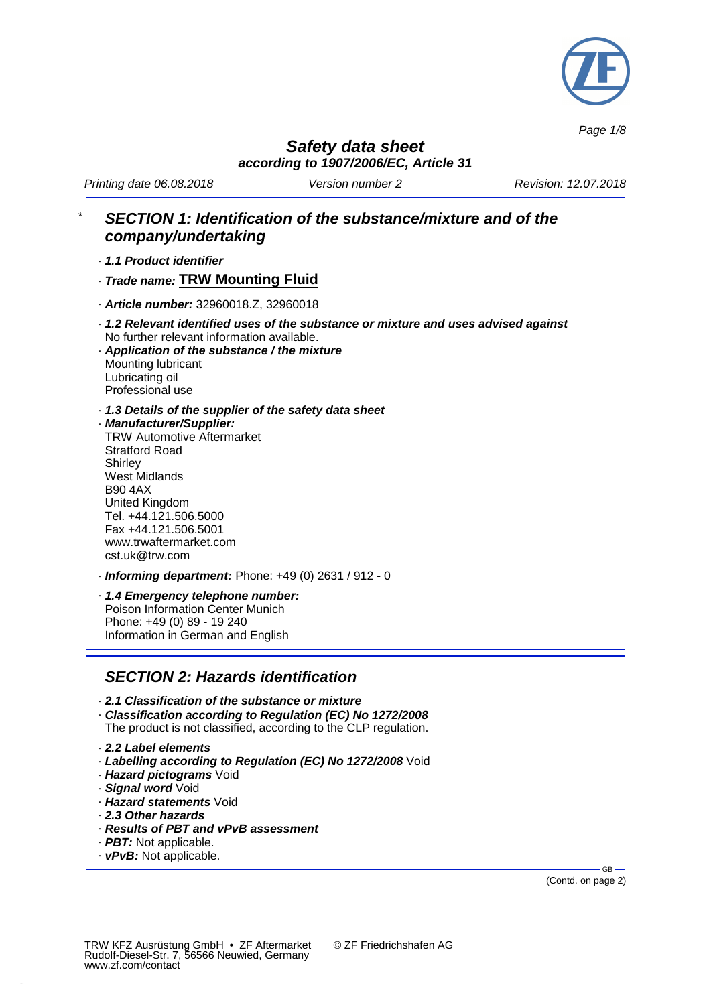

*Page 1/8*

*Safety data sheet according to 1907/2006/EC, Article 31*

*Printing date 06.08.2018 Version number 2 Revision: 12.07.2018*

# \* *SECTION 1: Identification of the substance/mixture and of the company/undertaking*

· *1.1 Product identifier*

· *Trade name:* **TRW Mounting Fluid**

- · *Article number:* 32960018.Z, 32960018
- · *1.2 Relevant identified uses of the substance or mixture and uses advised against* No further relevant information available.
- · *Application of the substance / the mixture* Mounting lubricant Lubricating oil Professional use
- · *1.3 Details of the supplier of the safety data sheet*
- · *Manufacturer/Supplier:* TRW Automotive Aftermarket Stratford Road **Shirley** West Midlands B90 4AX United Kingdom Tel. +44.121.506.5000 Fax +44.121.506.5001 www.trwaftermarket.com cst.uk@trw.com
- · *Informing department:* Phone: +49 (0) 2631 / 912 0
- · *1.4 Emergency telephone number:* Poison Information Center Munich Phone: +49 (0) 89 - 19 240 Information in German and English

### *SECTION 2: Hazards identification*

- · *2.1 Classification of the substance or mixture*
- · *Classification according to Regulation (EC) No 1272/2008*
- The product is not classified, according to the CLP regulation.

#### · *2.2 Label elements*

- · *Labelling according to Regulation (EC) No 1272/2008* Void
- · *Hazard pictograms* Void
- · *Signal word* Void
- · *Hazard statements* Void
- · *2.3 Other hazards*
- · *Results of PBT and vPvB assessment*
- · *PBT:* Not applicable.
- · *vPvB:* Not applicable.

(Contd. on page 2)

GB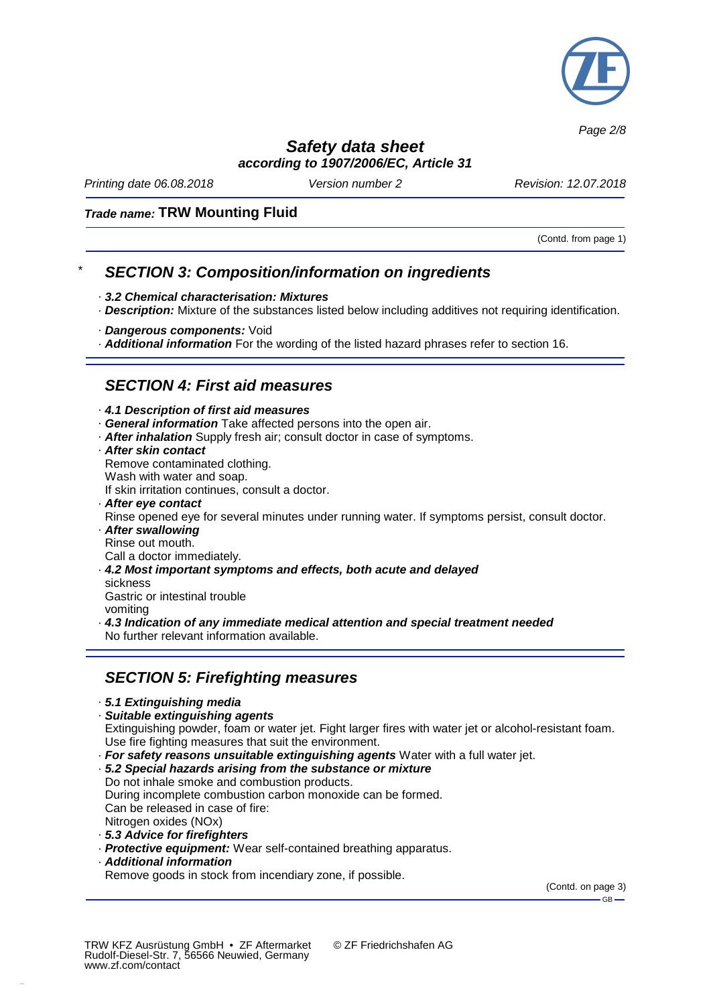

*Page 2/8*

# *Safety data sheet*

*according to 1907/2006/EC, Article 31*

*Printing date 06.08.2018 Version number 2 Revision: 12.07.2018*

#### *Trade name:* **TRW Mounting Fluid**

(Contd. from page 1)

# \* *SECTION 3: Composition/information on ingredients*

- · *3.2 Chemical characterisation: Mixtures*
- · *Description:* Mixture of the substances listed below including additives not requiring identification.
- · *Dangerous components:* Void
- · *Additional information* For the wording of the listed hazard phrases refer to section 16.

## *SECTION 4: First aid measures*

· *4.1 Description of first aid measures*

- · *General information* Take affected persons into the open air.
- · *After inhalation* Supply fresh air; consult doctor in case of symptoms.
- · *After skin contact*

Remove contaminated clothing.

- Wash with water and soap.
- If skin irritation continues, consult a doctor.
- · *After eye contact*
- Rinse opened eye for several minutes under running water. If symptoms persist, consult doctor.
- · *After swallowing* Rinse out mouth.

Call a doctor immediately.

· *4.2 Most important symptoms and effects, both acute and delayed* sickness

Gastric or intestinal trouble vomiting

· *4.3 Indication of any immediate medical attention and special treatment needed* No further relevant information available.

# *SECTION 5: Firefighting measures*

#### · *5.1 Extinguishing media*

· *Suitable extinguishing agents*

Extinguishing powder, foam or water jet. Fight larger fires with water jet or alcohol-resistant foam. Use fire fighting measures that suit the environment.

· *For safety reasons unsuitable extinguishing agents* Water with a full water jet.

· *5.2 Special hazards arising from the substance or mixture* Do not inhale smoke and combustion products. During incomplete combustion carbon monoxide can be formed. Can be released in case of fire: Nitrogen oxides (NOx) · *5.3 Advice for firefighters*

- · *Protective equipment:* Wear self-contained breathing apparatus.
- · *Additional information*

Remove goods in stock from incendiary zone, if possible.

(Contd. on page 3)  $-GB -$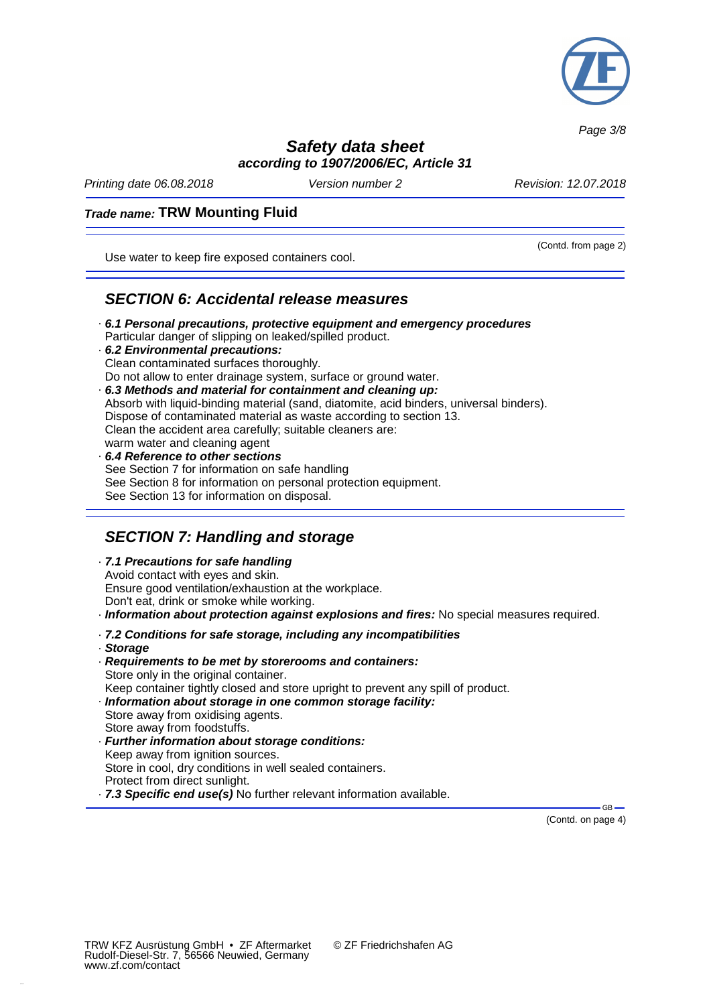

*Page 3/8*

# *Safety data sheet*

*according to 1907/2006/EC, Article 31*

*Printing date 06.08.2018 Version number 2 Revision: 12.07.2018*

(Contd. from page 2)

#### *Trade name:* **TRW Mounting Fluid**

Use water to keep fire exposed containers cool.

#### *SECTION 6: Accidental release measures*

- · *6.1 Personal precautions, protective equipment and emergency procedures* Particular danger of slipping on leaked/spilled product. · *6.2 Environmental precautions:* Clean contaminated surfaces thoroughly.
- Do not allow to enter drainage system, surface or ground water. · *6.3 Methods and material for containment and cleaning up:* Absorb with liquid-binding material (sand, diatomite, acid binders, universal binders). Dispose of contaminated material as waste according to section 13. Clean the accident area carefully; suitable cleaners are: warm water and cleaning agent
- · *6.4 Reference to other sections* See Section 7 for information on safe handling See Section 8 for information on personal protection equipment. See Section 13 for information on disposal.

# *SECTION 7: Handling and storage*

- · *7.1 Precautions for safe handling* Avoid contact with eyes and skin. Ensure good ventilation/exhaustion at the workplace. Don't eat, drink or smoke while working.
- · *Information about protection against explosions and fires:* No special measures required.
- · *7.2 Conditions for safe storage, including any incompatibilities*
- · *Storage*
- · *Requirements to be met by storerooms and containers:* Store only in the original container. Keep container tightly closed and store upright to prevent any spill of product.
- · *Information about storage in one common storage facility:*
- Store away from oxidising agents. Store away from foodstuffs.
- · *Further information about storage conditions:* Keep away from ignition sources. Store in cool, dry conditions in well sealed containers. Protect from direct sunlight.
- · *7.3 Specific end use(s)* No further relevant information available.

(Contd. on page 4)

 $-GB$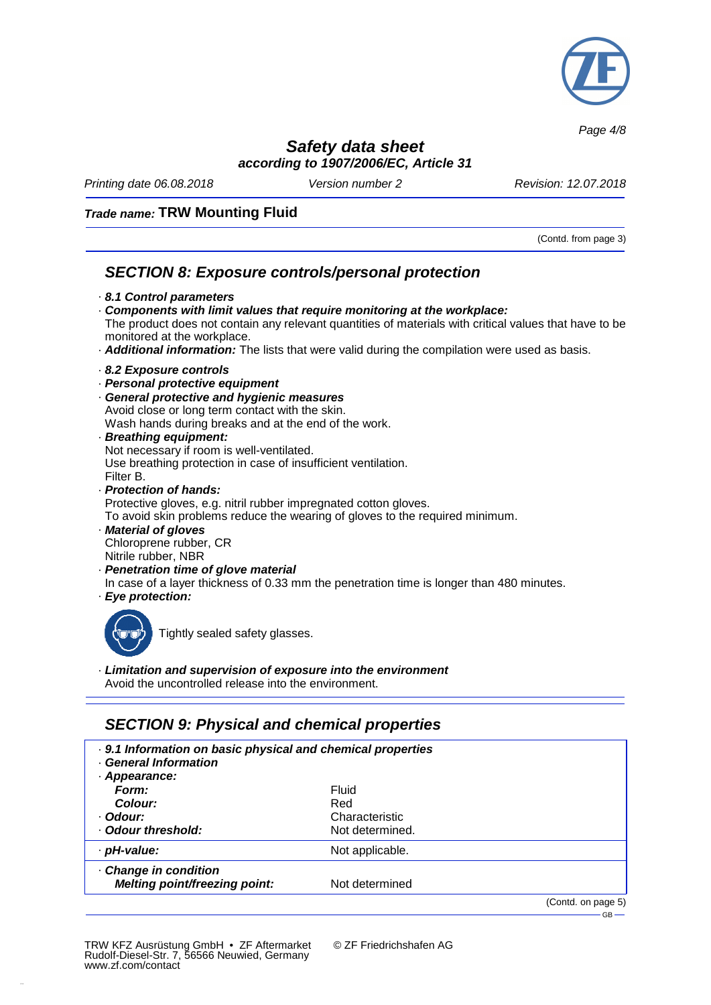

*Page 4/8*

### *Safety data sheet according to 1907/2006/EC, Article 31*

*Printing date 06.08.2018 Version number 2 Revision: 12.07.2018*

#### *Trade name:* **TRW Mounting Fluid**

(Contd. from page 3)

 $-$ GB $-$ 

# *SECTION 8: Exposure controls/personal protection*

- · *8.1 Control parameters*
- · *Components with limit values that require monitoring at the workplace:* The product does not contain any relevant quantities of materials with critical values that have to be monitored at the workplace.
- · *Additional information:* The lists that were valid during the compilation were used as basis.
- · *8.2 Exposure controls*
- · *Personal protective equipment*
- · *General protective and hygienic measures* Avoid close or long term contact with the skin. Wash hands during breaks and at the end of the work. · *Breathing equipment:*
- Not necessary if room is well-ventilated. Use breathing protection in case of insufficient ventilation. Filter B. · *Protection of hands:*
- Protective gloves, e.g. nitril rubber impregnated cotton gloves. To avoid skin problems reduce the wearing of gloves to the required minimum.
- · *Material of gloves* Chloroprene rubber, CR Nitrile rubber, NBR
- · *Penetration time of glove material* In case of a layer thickness of 0.33 mm the penetration time is longer than 480 minutes. · *Eye protection:*
- 



Tightly sealed safety glasses.

· *Limitation and supervision of exposure into the environment* Avoid the uncontrolled release into the environment.

# *SECTION 9: Physical and chemical properties*

| . 9.1 Information on basic physical and chemical properties<br>General Information |                 |                    |
|------------------------------------------------------------------------------------|-----------------|--------------------|
| · Appearance:                                                                      |                 |                    |
| Form:                                                                              | Fluid           |                    |
| Colour:                                                                            | Red             |                    |
| · Odour:                                                                           | Characteristic  |                    |
| Odour threshold:                                                                   | Not determined. |                    |
| · pH-value:                                                                        | Not applicable. |                    |
| Change in condition<br>Melting point/freezing point:                               | Not determined  |                    |
|                                                                                    |                 | (Contd. on page 5) |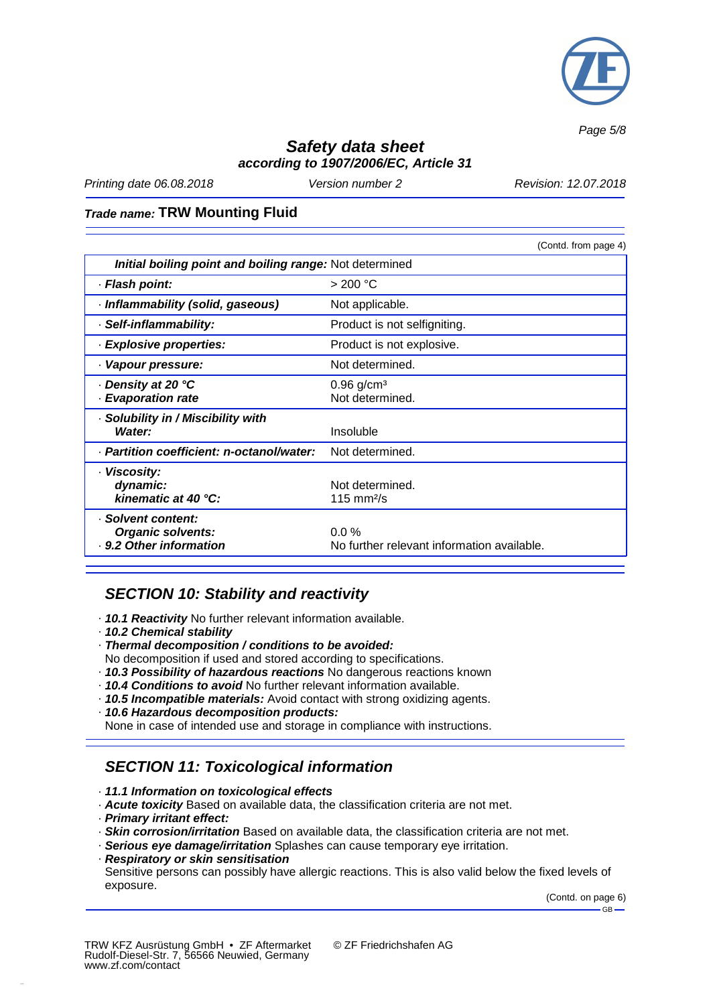

*Page 5/8*

## *Safety data sheet according to 1907/2006/EC, Article 31*

*Printing date 06.08.2018 Version number 2 Revision: 12.07.2018*

#### *Trade name:* **TRW Mounting Fluid**

|                                                         | (Contd. from page 4)                        |  |
|---------------------------------------------------------|---------------------------------------------|--|
| Initial boiling point and boiling range: Not determined |                                             |  |
| · Flash point:                                          | > 200 °C                                    |  |
| · Inflammability (solid, gaseous)                       | Not applicable.                             |  |
| · Self-inflammability:                                  | Product is not selfigniting.                |  |
| · Explosive properties:                                 | Product is not explosive.                   |  |
| · Vapour pressure:                                      | Not determined.                             |  |
| ⋅ Density at 20 °C<br>· Evaporation rate                | $0.96$ g/cm <sup>3</sup><br>Not determined. |  |
|                                                         |                                             |  |
| · Solubility in / Miscibility with                      |                                             |  |
| Water:                                                  | Insoluble                                   |  |
| · Partition coefficient: n-octanol/water:               | Not determined.                             |  |
| · Viscosity:                                            |                                             |  |
| dynamic:                                                | Not determined.                             |  |
| kinematic at 40 °C:                                     | 115 mm $2/s$                                |  |
| · Solvent content:                                      |                                             |  |
| <b>Organic solvents:</b>                                | $0.0\%$                                     |  |
| . 9.2 Other information                                 | No further relevant information available.  |  |

### *SECTION 10: Stability and reactivity*

- · *10.1 Reactivity* No further relevant information available.
- · *10.2 Chemical stability*
- · *Thermal decomposition / conditions to be avoided:*
- No decomposition if used and stored according to specifications.
- · *10.3 Possibility of hazardous reactions* No dangerous reactions known
- · *10.4 Conditions to avoid* No further relevant information available.
- · *10.5 Incompatible materials:* Avoid contact with strong oxidizing agents.
- · *10.6 Hazardous decomposition products:*
- None in case of intended use and storage in compliance with instructions.

# *SECTION 11: Toxicological information*

#### · *11.1 Information on toxicological effects*

- · *Acute toxicity* Based on available data, the classification criteria are not met.
- · *Primary irritant effect:*
- · *Skin corrosion/irritation* Based on available data, the classification criteria are not met.
- · *Serious eye damage/irritation* Splashes can cause temporary eye irritation.
- · *Respiratory or skin sensitisation* Sensitive persons can possibly have allergic reactions. This is also valid below the fixed levels of exposure.

(Contd. on page 6)

 $-GB -$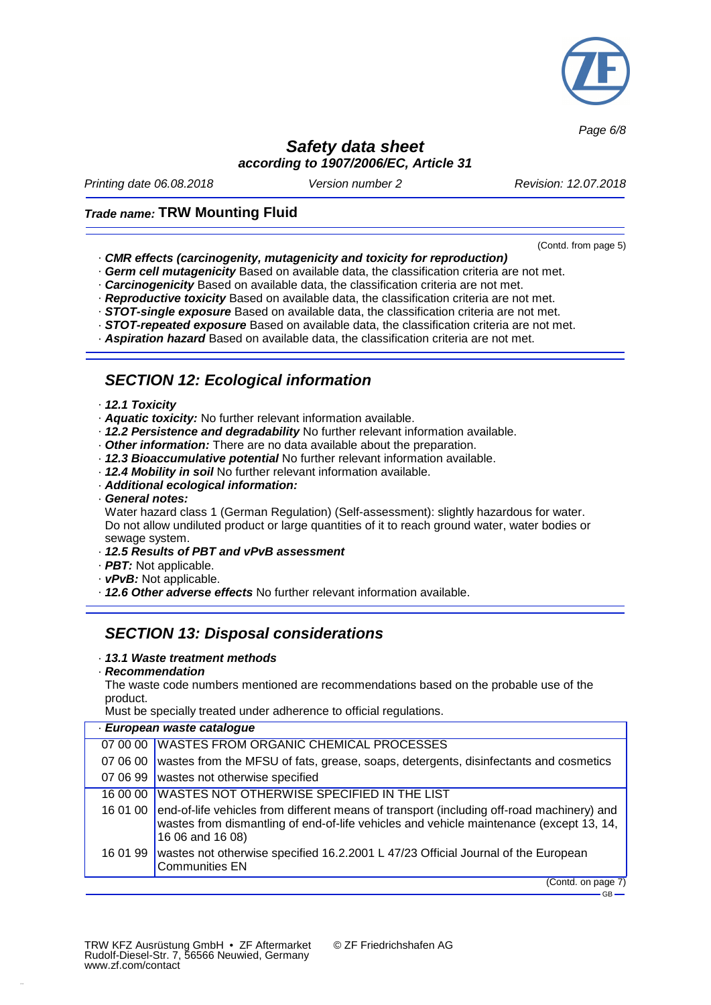

*Page 6/8*

### *Safety data sheet according to 1907/2006/EC, Article 31*

*Printing date 06.08.2018 Version number 2 Revision: 12.07.2018*

(Contd. from page 5)

 $GB -$ 

#### *Trade name:* **TRW Mounting Fluid**

- · *CMR effects (carcinogenity, mutagenicity and toxicity for reproduction)*
- · *Germ cell mutagenicity* Based on available data, the classification criteria are not met.
- · *Carcinogenicity* Based on available data, the classification criteria are not met.
- · *Reproductive toxicity* Based on available data, the classification criteria are not met.
- · *STOT-single exposure* Based on available data, the classification criteria are not met.
- · *STOT-repeated exposure* Based on available data, the classification criteria are not met.
- · *Aspiration hazard* Based on available data, the classification criteria are not met.

### *SECTION 12: Ecological information*

- · *12.1 Toxicity*
- · *Aquatic toxicity:* No further relevant information available.
- · *12.2 Persistence and degradability* No further relevant information available.
- · *Other information:* There are no data available about the preparation.
- · *12.3 Bioaccumulative potential* No further relevant information available.
- · *12.4 Mobility in soil* No further relevant information available.
- · *Additional ecological information:*
- · *General notes:*

Water hazard class 1 (German Regulation) (Self-assessment): slightly hazardous for water. Do not allow undiluted product or large quantities of it to reach ground water, water bodies or sewage system.

- · *12.5 Results of PBT and vPvB assessment*
- · *PBT:* Not applicable.
- · *vPvB:* Not applicable.
- · *12.6 Other adverse effects* No further relevant information available.

### *SECTION 13: Disposal considerations*

· *13.1 Waste treatment methods*

#### · *Recommendation*

The waste code numbers mentioned are recommendations based on the probable use of the product.

Must be specially treated under adherence to official regulations.

| · European waste catalogue |                                                                                                                                                                                                                   |  |
|----------------------------|-------------------------------------------------------------------------------------------------------------------------------------------------------------------------------------------------------------------|--|
| 07 00 00                   | <b>WASTES FROM ORGANIC CHEMICAL PROCESSES</b>                                                                                                                                                                     |  |
| 07 06 00                   | wastes from the MFSU of fats, grease, soaps, detergents, disinfectants and cosmetics                                                                                                                              |  |
|                            | 07 06 99 wastes not otherwise specified                                                                                                                                                                           |  |
| 16 00 00                   | <b>WASTES NOT OTHERWISE SPECIFIED IN THE LIST</b>                                                                                                                                                                 |  |
|                            | 16 01 00 end-of-life vehicles from different means of transport (including off-road machinery) and<br>wastes from dismantling of end-of-life vehicles and vehicle maintenance (except 13, 14,<br>16 06 and 16 08) |  |
| 16 01 99                   | wastes not otherwise specified 16.2.2001 L 47/23 Official Journal of the European<br><b>Communities EN</b>                                                                                                        |  |
|                            | (Contd. on page 7)                                                                                                                                                                                                |  |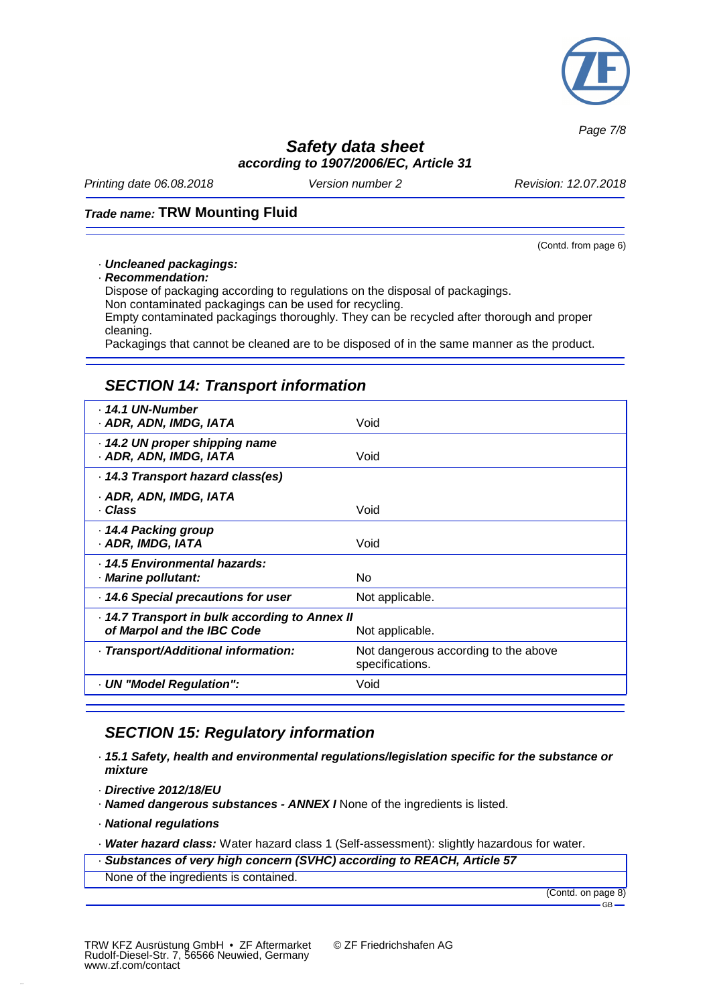

*Page 7/8*

### *Safety data sheet according to 1907/2006/EC, Article 31*

*Printing date 06.08.2018 Version number 2 Revision: 12.07.2018*

#### *Trade name:* **TRW Mounting Fluid**

(Contd. from page 6)

#### · *Uncleaned packagings:*

· *Recommendation:*

Dispose of packaging according to regulations on the disposal of packagings. Non contaminated packagings can be used for recycling. Empty contaminated packagings thoroughly. They can be recycled after thorough and proper cleaning.

Packagings that cannot be cleaned are to be disposed of in the same manner as the product.

## *SECTION 14: Transport information*

| 14.1 UN-Number<br>· ADR, ADN, IMDG, IATA                                                      | Void                                                    |  |
|-----------------------------------------------------------------------------------------------|---------------------------------------------------------|--|
| 14.2 UN proper shipping name<br>· ADR, ADN, IMDG, IATA                                        | Void                                                    |  |
| 14.3 Transport hazard class(es)                                                               |                                                         |  |
| · ADR, ADN, IMDG, IATA<br>· Class                                                             | Void                                                    |  |
| 14.4 Packing group<br>· ADR, IMDG, IATA                                                       | Void                                                    |  |
| · 14.5 Environmental hazards:<br>· Marine pollutant:                                          | No.                                                     |  |
| 14.6 Special precautions for user                                                             | Not applicable.                                         |  |
| 14.7 Transport in bulk according to Annex II<br>of Marpol and the IBC Code<br>Not applicable. |                                                         |  |
| - Transport/Additional information:                                                           | Not dangerous according to the above<br>specifications. |  |
| - UN "Model Regulation":                                                                      | Void                                                    |  |

# *SECTION 15: Regulatory information*

- · *15.1 Safety, health and environmental regulations/legislation specific for the substance or mixture*
- · *Directive 2012/18/EU*
- · *Named dangerous substances - ANNEX I* None of the ingredients is listed.
- · *National regulations*

· *Water hazard class:* Water hazard class 1 (Self-assessment): slightly hazardous for water.

- · *Substances of very high concern (SVHC) according to REACH, Article 57*
- None of the ingredients is contained.

(Contd. on page 8) GB